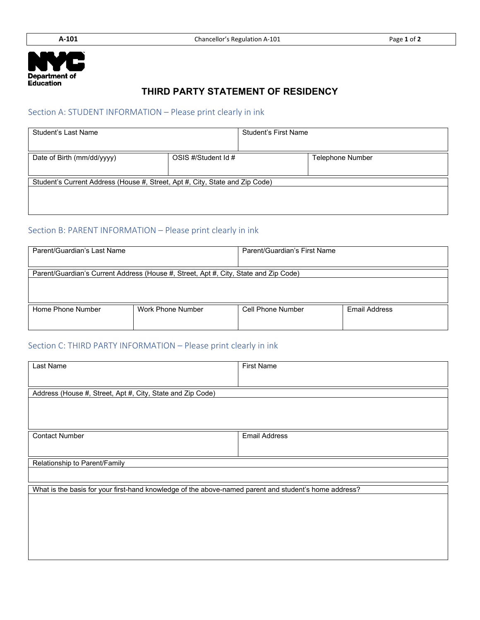

## **THIRD PARTY STATEMENT OF RESIDENCY**

#### Section A: STUDENT INFORMATION – Please print clearly in ink

| Student's Last Name                                                          |                     | <b>Student's First Name</b> |                         |  |  |
|------------------------------------------------------------------------------|---------------------|-----------------------------|-------------------------|--|--|
| Date of Birth (mm/dd/yyyy)                                                   | OSIS #/Student Id # |                             | <b>Telephone Number</b> |  |  |
| Student's Current Address (House #, Street, Apt #, City, State and Zip Code) |                     |                             |                         |  |  |
|                                                                              |                     |                             |                         |  |  |

# Section B: PARENT INFORMATION – Please print clearly in ink

| Parent/Guardian's Last Name                                                          | Parent/Guardian's First Name |                   |               |  |
|--------------------------------------------------------------------------------------|------------------------------|-------------------|---------------|--|
| Parent/Guardian's Current Address (House #, Street, Apt #, City, State and Zip Code) |                              |                   |               |  |
|                                                                                      |                              |                   |               |  |
|                                                                                      |                              |                   |               |  |
| Home Phone Number                                                                    | Work Phone Number            | Cell Phone Number | Email Address |  |
|                                                                                      |                              |                   |               |  |

### Section C: THIRD PARTY INFORMATION – Please print clearly in ink

| Last Name                                                                                             | First Name           |  |  |  |
|-------------------------------------------------------------------------------------------------------|----------------------|--|--|--|
|                                                                                                       |                      |  |  |  |
| Address (House #, Street, Apt #, City, State and Zip Code)                                            |                      |  |  |  |
|                                                                                                       |                      |  |  |  |
| <b>Contact Number</b>                                                                                 | <b>Email Address</b> |  |  |  |
|                                                                                                       |                      |  |  |  |
| Relationship to Parent/Family                                                                         |                      |  |  |  |
|                                                                                                       |                      |  |  |  |
| What is the basis for your first-hand knowledge of the above-named parent and student's home address? |                      |  |  |  |
|                                                                                                       |                      |  |  |  |
|                                                                                                       |                      |  |  |  |
|                                                                                                       |                      |  |  |  |
|                                                                                                       |                      |  |  |  |
|                                                                                                       |                      |  |  |  |
|                                                                                                       |                      |  |  |  |